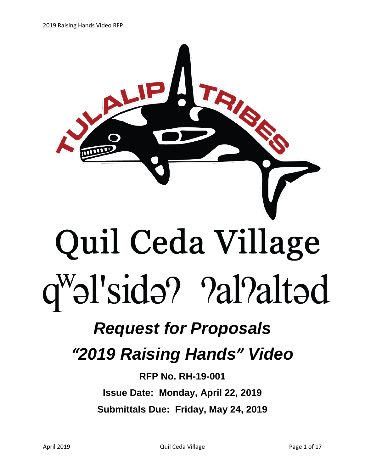

## *Request for Proposals*

## *"2019 Raising Hands" Video*

**RFP No. RH-19-001 Issue Date: Monday, April 22, 2019 Submittals Due: Friday, May 24, 2019**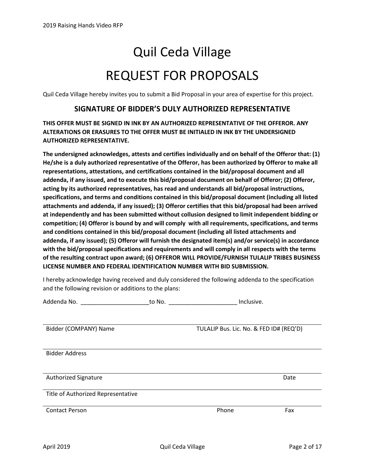# Quil Ceda Village REQUEST FOR PROPOSALS

Quil Ceda Village hereby invites you to submit a Bid Proposal in your area of expertise for this project.

#### **SIGNATURE OF BIDDER'S DULY AUTHORIZED REPRESENTATIVE**

**THIS OFFER MUST BE SIGNED IN INK BY AN AUTHORIZED REPRESENTATIVE OF THE OFFEROR. ANY ALTERATIONS OR ERASURES TO THE OFFER MUST BE INITIALED IN INK BY THE UNDERSIGNED AUTHORIZED REPRESENTATIVE.**

**The undersigned acknowledges, attests and certifies individually and on behalf of the Offeror that: (1) He/she is a duly authorized representative of the Offeror, has been authorized by Offeror to make all representations, attestations, and certifications contained in the bid/proposal document and all addenda, if any issued, and to execute this bid/proposal document on behalf of Offeror; (2) Offeror, acting by its authorized representatives, has read and understands all bid/proposal instructions, specifications, and terms and conditions contained in this bid/proposal document (including all listed attachments and addenda, if any issued); (3) Offeror certifies that this bid/proposal had been arrived at independently and has been submitted without collusion designed to limit independent bidding or competition; (4) Offeror is bound by and will comply with all requirements, specifications, and terms and conditions contained in this bid/proposal document (including all listed attachments and addenda, if any issued); (5) Offeror will furnish the designated item(s) and/or service(s) in accordance with the bid/proposal specifications and requirements and will comply in all respects with the terms of the resulting contract upon award; (6) OFFEROR WILL PROVIDE/FURNISH TULALIP TRIBES BUSINESS LICENSE NUMBER AND FEDERAL IDENTIFICATION NUMBER WITH BID SUBMISSION.**

I hereby acknowledge having received and duly considered the following addenda to the specification and the following revision or additions to the plans:

| Addenda No. <b>Addenda</b> No.     | to No. | Inclusive.                              |      |
|------------------------------------|--------|-----------------------------------------|------|
| Bidder (COMPANY) Name              |        | TULALIP Bus. Lic. No. & FED ID# (REQ'D) |      |
| <b>Bidder Address</b>              |        |                                         |      |
| <b>Authorized Signature</b>        |        |                                         | Date |
| Title of Authorized Representative |        |                                         |      |
| <b>Contact Person</b>              |        | Phone                                   | Fax  |
|                                    |        |                                         |      |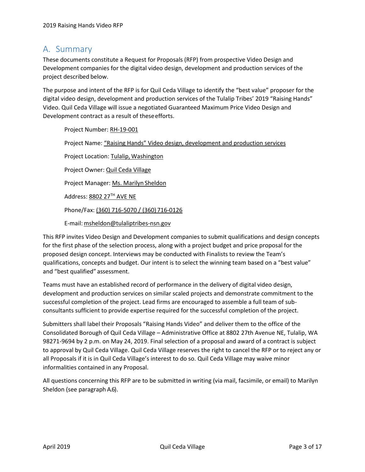## <span id="page-2-0"></span>A. Summary

These documents constitute a Request for Proposals (RFP) from prospective Video Design and Development companies for the digital video design, development and production services of the project described below.

The purpose and intent of the RFP is for Quil Ceda Village to identify the "best value" proposer for the digital video design, development and production services of the Tulalip Tribes' 2019 "Raising Hands" Video. Quil Ceda Village will issue a negotiated Guaranteed Maximum Price Video Design and Development contract as a result of theseefforts.

Project Number: RH-19-001 Project Name: "Raising Hands" Video design, development and production services Project Location: Tulalip, Washington Project Owner: Quil Ceda Village Project Manager: Ms. Marilyn Sheldon Address: 8802 27TH AVE NE Phone/Fax: (360) 716-5070 / (360) 716-0126 E-mail: msheldon@tulaliptribes-nsn.gov

This RFP invites Video Design and Development companies to submit qualifications and design concepts for the first phase of the selection process, along with a project budget and price proposal for the proposed design concept. Interviews may be conducted with Finalists to review the Team's qualifications, concepts and budget. Our intent is to select the winning team based on a "best value" and "best qualified" assessment.

Teams must have an established record of performance in the delivery of digital video design, development and production services on similar scaled projects and demonstrate commitment to the successful completion of the project. Lead firms are encouraged to assemble a full team of subconsultants sufficient to provide expertise required for the successful completion of the project.

Submitters shall label their Proposals "Raising Hands Video" and deliver them to the office of the Consolidated Borough of Quil Ceda Village – Administrative Office at 8802 27th Avenue NE, Tulalip, WA 98271-9694 by 2 p.m. on May 24, 2019. Final selection of a proposal and award of a contract is subject to approval by Quil Ceda Village. Quil Ceda Village reserves the right to cancel the RFP or to reject any or all Proposals if it is in Quil Ceda Village's interest to do so. Quil Ceda Village may waive minor informalities contained in any Proposal.

All questions concerning this RFP are to be submitted in writing (via mail, facsimile, or email) to Marilyn Sheldon (see paragraph [A.6\)](#page-4-0).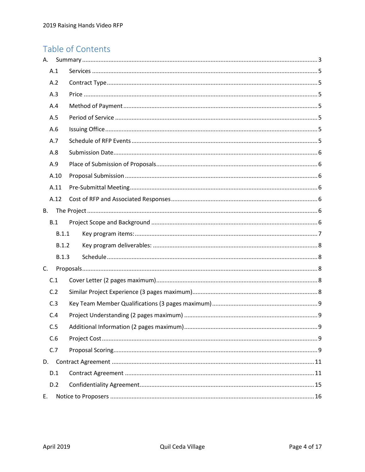## Table of Contents

| А.        |       |  |
|-----------|-------|--|
|           | A.1   |  |
|           | A.2   |  |
|           | A.3   |  |
|           | A.4   |  |
|           | A.5   |  |
|           | A.6   |  |
|           | A.7   |  |
|           | A.8   |  |
|           | A.9   |  |
|           | A.10  |  |
|           | A.11  |  |
|           | A.12  |  |
| <b>B.</b> |       |  |
|           | B.1   |  |
|           | B.1.1 |  |
|           | B.1.2 |  |
|           | B.1.3 |  |
| C.        |       |  |
|           | C.1   |  |
|           | C.2   |  |
|           | C.3   |  |
|           | C.4   |  |
|           | C.5   |  |
|           | C.6   |  |
|           | C.7   |  |
|           | D.    |  |
|           | D.1   |  |
|           | D.2   |  |
| Ε.        |       |  |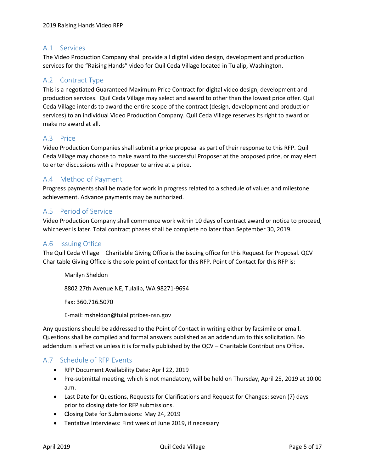## <span id="page-4-1"></span>A.1 Services

The Video Production Company shall provide all digital video design, development and production services for the "Raising Hands" video for Quil Ceda Village located in Tulalip, Washington.

## <span id="page-4-2"></span>A.2 Contract Type

This is a negotiated Guaranteed Maximum Price Contract for digital video design, development and production services. Quil Ceda Village may select and award to other than the lowest price offer. Quil Ceda Village intends to award the entire scope of the contract (design, development and production services) to an individual Video Production Company. Quil Ceda Village reserves its right to award or make no award at all.

## <span id="page-4-3"></span>A.3 Price

Video Production Companies shall submit a price proposal as part of their response to this RFP. Quil Ceda Village may choose to make award to the successful Proposer at the proposed price, or may elect to enter discussions with a Proposer to arrive at a price.

## <span id="page-4-4"></span>A.4 Method of Payment

Progress payments shall be made for work in progress related to a schedule of values and milestone achievement. Advance payments may be authorized.

## <span id="page-4-5"></span>A.5 Period of Service

Video Production Company shall commence work within 10 days of contract award or notice to proceed, whichever is later. Total contract phases shall be complete no later than September 30, 2019.

## <span id="page-4-0"></span>A.6 Issuing Office

The Quil Ceda Village – Charitable Giving Office is the issuing office for this Request for Proposal. QCV – Charitable Giving Office is the sole point of contact for this RFP. Point of Contact for this RFP is:

Marilyn Sheldon 8802 27th Avenue NE, Tulalip, WA 98271-9694 Fax: 360.716.5070

E-mail: msheldon@tulaliptribes-nsn.gov

Any questions should be addressed to the Point of Contact in writing either by facsimile or email. Questions shall be compiled and formal answers published as an addendum to this solicitation. No addendum is effective unless it is formally published by the QCV – Charitable Contributions Office.

#### <span id="page-4-6"></span>A.7 Schedule of RFP Events

- RFP Document Availability Date: April 22, 2019
- Pre-submittal meeting, which is not mandatory, will be held on Thursday, April 25, 2019 at 10:00 a.m.
- Last Date for Questions, Requests for Clarifications and Request for Changes: seven (7) days prior to closing date for RFP submissions.
- Closing Date for Submissions: May 24, 2019
- Tentative Interviews: First week of June 2019, if necessary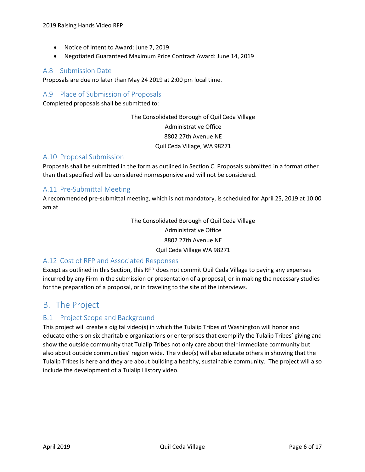- Notice of Intent to Award: June 7, 2019
- Negotiated Guaranteed Maximum Price Contract Award: June 14, 2019

### <span id="page-5-0"></span>A.8 Submission Date

Proposals are due no later than May 24 2019 at 2:00 pm local time.

## <span id="page-5-1"></span>A.9 Place of Submission of Proposals

Completed proposals shall be submitted to:

The Consolidated Borough of Quil Ceda Village Administrative Office 8802 27th Avenue NE Quil Ceda Village, WA 98271

#### <span id="page-5-2"></span>A.10 Proposal Submission

Proposals shall be submitted in the form as outlined in Section C. Proposals submitted in a format other than that specified will be considered nonresponsive and will not be considered.

## <span id="page-5-3"></span>A.11 Pre-Submittal Meeting

A recommended pre-submittal meeting, which is not mandatory, is scheduled for April 25, 2019 at 10:00 am at

> The Consolidated Borough of Quil Ceda Village Administrative Office 8802 27th Avenue NE Quil Ceda Village WA 98271

#### <span id="page-5-4"></span>A.12 Cost of RFP and Associated Responses

Except as outlined in this Section, this RFP does not commit Quil Ceda Village to paying any expenses incurred by any Firm in the submission or presentation of a proposal, or in making the necessary studies for the preparation of a proposal, or in traveling to the site of the interviews.

## <span id="page-5-5"></span>B. The Project

## <span id="page-5-6"></span>B.1 Project Scope and Background

This project will create a digital video(s) in which the Tulalip Tribes of Washington will honor and educate others on six charitable organizations or enterprises that exemplify the Tulalip Tribes' giving and show the outside community that Tulalip Tribes not only care about their immediate community but also about outside communities' region wide. The video(s) will also educate others in showing that the Tulalip Tribes is here and they are about building a healthy, sustainable community. The project will also include the development of a Tulalip History video.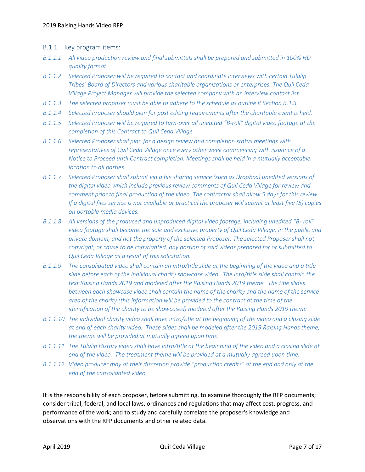- <span id="page-6-0"></span>B.1.1 Key program items:
- *B.1.1.1 All video production review and final submittals shall be prepared and submitted in 100% HD quality format.*
- *B.1.1.2 Selected Proposer will be required to contact and coordinate interviews with certain Tulalip Tribes' Board of Directors and various charitable organizations or enterprises. The Quil Ceda Village Project Manager will provide the selected company with an interview contact list.*
- *B.1.1.3 The selected proposer must be able to adhere to the schedule as outline it Section B.1.3*
- *B.1.1.4 Selected Proposer should plan for post editing requirements after the charitable event is held.*
- *B.1.1.5 Selected Proposer will be required to turn-over all unedited "B-roll" digital video footage at the completion of this Contract to Quil Ceda Village.*
- *B.1.1.6 Selected Proposer shall plan for a design review and completion status meetings with representatives of Quil Ceda Village once every other week commencing with issuance of a Notice to Proceed until Contract completion. Meetings shall be held in a mutually acceptable location to all parties.*
- *B.1.1.7 Selected Proposer shall submit via a file sharing service (such as Dropbox) unedited versions of the digital video which include previous review comments of Quil Ceda Village for review and comment prior to final production of the video. The contractor shall allow 5 days for this review. If a digital files service is not available or practical the proposer will submit at least five (5) copies on portable media devices.*
- *B.1.1.8 All versions of the produced and unproduced digital video footage, including unedited "B- roll" video footage shall become the sole and exclusive property of Quil Ceda Village, in the public and private domain, and not the property of the selected Proposer. The selected Proposer shall not copyright, or cause to be copyrighted, any portion of said videos prepared for or submitted to Quil Ceda Village as a result of this solicitation.*
- *B.1.1.9 The consolidated video shall contain an intro/title slide at the beginning of the video and a title slide before each of the individual charity showcase video. The into/title slide shall contain the text Raising Hands 2019 and modeled after the Raising Hands 2019 theme. The title slides between each showcase video shall contain the name of the charity and the name of the service area of the charity (this information will be provided to the contract at the time of the identification of the charity to be showcased) modeled after the Raising Hands 2019 theme.*
- *B.1.1.10 The individual charity video shall have intro/title at the beginning of the video and a closing slide at end of each charity video. These slides shall be modeled after the 2019 Raising Hands theme; the theme will be provided at mutually agreed upon time.*
- *B.1.1.11 The Tulalip History video shall have intro/title at the beginning of the video and a closing slide at end of the video. The treatment theme will be provided at a mutually agreed upon time.*
- *B.1.1.12 Video producer may at their discretion provide "production credits" at the end and only at the end of the consolidated video.*

It is the responsibility of each proposer, before submitting, to examine thoroughly the RFP documents; consider tribal, federal, and local laws, ordinances and regulations that may affect cost, progress, and performance of the work; and to study and carefully correlate the proposer's knowledge and observations with the RFP documents and other related data.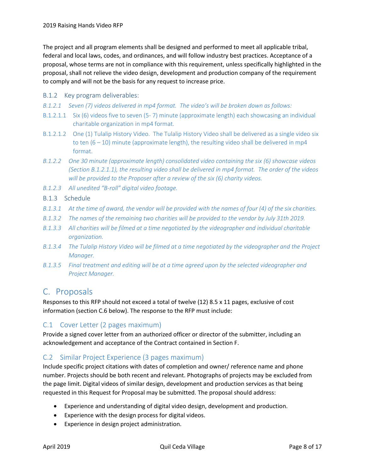The project and all program elements shall be designed and performed to meet all applicable tribal, federal and local laws, codes, and ordinances, and will follow industry best practices. Acceptance of a proposal, whose terms are not in compliance with this requirement, unless specifically highlighted in the proposal, shall not relieve the video design, development and production company of the requirement to comply and will not be the basis for any request to increase price.

- <span id="page-7-0"></span>B.1.2 Key program deliverables:
- *B.1.2.1 Seven (7) videos delivered in mp4 format. The video's will be broken down as follows:*
- B.1.2.1.1 Six (6) videos five to seven (5- 7) minute (approximate length) each showcasing an individual charitable organization in mp4 format.
- B.1.2.1.2 One (1) Tulalip History Video. The Tulalip History Video shall be delivered as a single video six to ten  $(6 - 10)$  minute (approximate length), the resulting video shall be delivered in mp4 format.
- *B.1.2.2 One 30 minute (approximate length) consolidated video containing the six (6) showcase videos (Section B.1.2.1.1), the resulting video shall be delivered in mp4 format. The order of the videos will be provided to the Proposer after a review of the six (6) charity videos.*
- *B.1.2.3 All unedited "B-roll" digital video footage.*
- <span id="page-7-1"></span>B.1.3 Schedule
- *B.1.3.1 At the time of award, the vendor will be provided with the names of four (4) of the six charities.*
- *B.1.3.2 The names of the remaining two charities will be provided to the vendor by July 31th 2019.*
- *B.1.3.3 All charities will be filmed at a time negotiated by the videographer and individual charitable organization.*
- *B.1.3.4 The Tulalip History Video will be filmed at a time negotiated by the videographer and the Project Manager.*
- *B.1.3.5 Final treatment and editing will be at a time agreed upon by the selected videographer and Project Manager.*

## <span id="page-7-2"></span>C. Proposals

Responses to this RFP should not exceed a total of twelve (12) 8.5 x 11 pages, exclusive of cost information (section C.6 below). The response to the RFP must include:

## <span id="page-7-3"></span>C.1 Cover Letter (2 pages maximum)

Provide a signed cover letter from an authorized officer or director of the submitter, including an acknowledgement and acceptance of the Contract contained in Section F.

## <span id="page-7-4"></span>C.2 Similar Project Experience (3 pages maximum)

Include specific project citations with dates of completion and owner/ reference name and phone number. Projects should be both recent and relevant. Photographs of projects may be excluded from the page limit. Digital videos of similar design, development and production services as that being requested in this Request for Proposal may be submitted. The proposal should address:

- Experience and understanding of digital video design, development and production.
- Experience with the design process for digital videos.
- Experience in design project administration.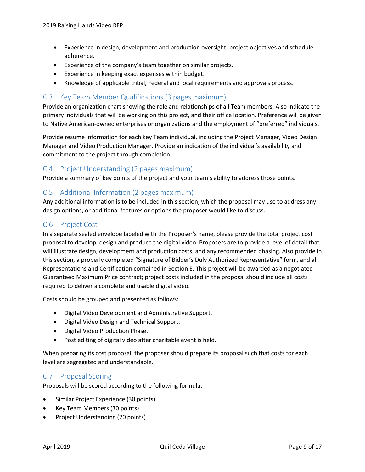- Experience in design, development and production oversight, project objectives and schedule adherence.
- Experience of the company's team together on similar projects.
- Experience in keeping exact expenses within budget.
- Knowledge of applicable tribal, Federal and local requirements and approvals process.

## <span id="page-8-0"></span>C.3 Key Team Member Qualifications (3 pages maximum)

Provide an organization chart showing the role and relationships of all Team members. Also indicate the primary individuals that will be working on this project, and their office location. Preference will be given to Native American-owned enterprises or organizations and the employment of "preferred" individuals.

Provide resume information for each key Team individual, including the Project Manager, Video Design Manager and Video Production Manager. Provide an indication of the individual's availability and commitment to the project through completion.

## <span id="page-8-1"></span>C.4 Project Understanding (2 pages maximum)

Provide a summary of key points of the project and your team's ability to address those points.

## <span id="page-8-2"></span>C.5 Additional Information (2 pages maximum)

Any additional information is to be included in this section, which the proposal may use to address any design options, or additional features or options the proposer would like to discuss.

#### <span id="page-8-3"></span>C.6 Project Cost

In a separate sealed envelope labeled with the Proposer's name, please provide the total project cost proposal to develop, design and produce the digital video. Proposers are to provide a level of detail that will illustrate design, development and production costs, and any recommended phasing. Also provide in this section, a properly completed "Signature of Bidder's Duly Authorized Representative" form, and all Representations and Certification contained in Section E. This project will be awarded as a negotiated Guaranteed Maximum Price contract; project costs included in the proposal should include all costs required to deliver a complete and usable digital video.

Costs should be grouped and presented as follows:

- Digital Video Development and Administrative Support.
- Digital Video Design and Technical Support.
- Digital Video Production Phase.
- Post editing of digital video after charitable event is held.

When preparing its cost proposal, the proposer should prepare its proposal such that costs for each level are segregated and understandable.

#### <span id="page-8-4"></span>C.7 Proposal Scoring

Proposals will be scored according to the following formula:

- Similar Project Experience (30 points)
- Key Team Members (30 points)
- Project Understanding (20 points)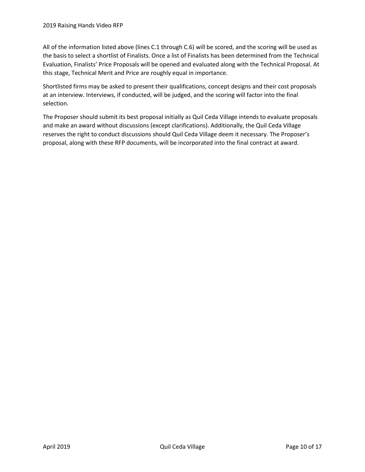All of the information listed above (lines C.1 through C.6) will be scored, and the scoring will be used as the basis to select a shortlist of Finalists. Once a list of Finalists has been determined from the Technical Evaluation, Finalists' Price Proposals will be opened and evaluated along with the Technical Proposal. At this stage, Technical Merit and Price are roughly equal in importance.

Shortlisted firms may be asked to present their qualifications, concept designs and their cost proposals at an interview. Interviews, if conducted, will be judged, and the scoring will factor into the final selection.

The Proposer should submit its best proposal initially as Quil Ceda Village intends to evaluate proposals and make an award without discussions (except clarifications). Additionally, the Quil Ceda Village reserves the right to conduct discussions should Quil Ceda Village deem it necessary. The Proposer's proposal, along with these RFP documents, will be incorporated into the final contract at award.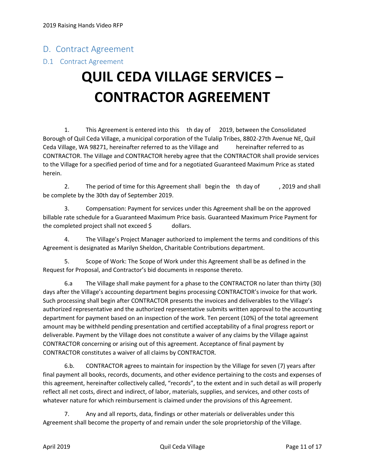## <span id="page-10-0"></span>D. Contract Agreement

## <span id="page-10-1"></span>D.1 Contract Agreement

## **QUIL CEDA VILLAGE SERVICES – CONTRACTOR AGREEMENT**

1. This Agreement is entered into this th day of 2019, between the Consolidated Borough of Quil Ceda Village, a municipal corporation of the Tulalip Tribes, 8802-27th Avenue NE, Quil Ceda Village, WA 98271, hereinafter referred to as the Village and hereinafter referred to as CONTRACTOR. The Village and CONTRACTOR hereby agree that the CONTRACTOR shall provide services to the Village for a specified period of time and for a negotiated Guaranteed Maximum Price as stated herein.

2. The period of time for this Agreement shall begin the th day of , 2019 and shall be complete by the 30th day of September 2019.

3. Compensation: Payment for services under this Agreement shall be on the approved billable rate schedule for a Guaranteed Maximum Price basis. Guaranteed Maximum Price Payment for the completed project shall not exceed  $\oint$  dollars.

4. The Village's Project Manager authorized to implement the terms and conditions of this Agreement is designated as Marilyn Sheldon, Charitable Contributions department.

5. Scope of Work: The Scope of Work under this Agreement shall be as defined in the Request for Proposal, and Contractor's bid documents in response thereto.

6.a The Village shall make payment for a phase to the CONTRACTOR no later than thirty (30) days after the Village's accounting department begins processing CONTRACTOR's invoice for that work. Such processing shall begin after CONTRACTOR presents the invoices and deliverables to the Village's authorized representative and the authorized representative submits written approval to the accounting department for payment based on an inspection of the work. Ten percent (10%) of the total agreement amount may be withheld pending presentation and certified acceptability of a final progress report or deliverable. Payment by the Village does not constitute a waiver of any claims by the Village against CONTRACTOR concerning or arising out of this agreement. Acceptance of final payment by CONTRACTOR constitutes a waiver of all claims by CONTRACTOR.

6.b. CONTRACTOR agrees to maintain for inspection by the Village for seven (7) years after final payment all books, records, documents, and other evidence pertaining to the costs and expenses of this agreement, hereinafter collectively called, "records", to the extent and in such detail as will properly reflect all net costs, direct and indirect, of labor, materials, supplies, and services, and other costs of whatever nature for which reimbursement is claimed under the provisions of this Agreement.

7. Any and all reports, data, findings or other materials or deliverables under this Agreement shall become the property of and remain under the sole proprietorship of the Village.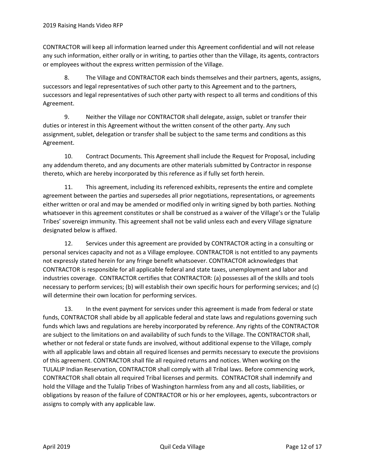CONTRACTOR will keep all information learned under this Agreement confidential and will not release any such information, either orally or in writing, to parties other than the Village, its agents, contractors or employees without the express written permission of the Village.

8. The Village and CONTRACTOR each binds themselves and their partners, agents, assigns, successors and legal representatives of such other party to this Agreement and to the partners, successors and legal representatives of such other party with respect to all terms and conditions of this Agreement.

9. Neither the Village nor CONTRACTOR shall delegate, assign, sublet or transfer their duties or interest in this Agreement without the written consent of the other party. Any such assignment, sublet, delegation or transfer shall be subject to the same terms and conditions as this Agreement.

10. Contract Documents. This Agreement shall include the Request for Proposal, including any addendum thereto, and any documents are other materials submitted by Contractor in response thereto, which are hereby incorporated by this reference as if fully set forth herein.

11. This agreement, including its referenced exhibits, represents the entire and complete agreement between the parties and supersedes all prior negotiations, representations, or agreements either written or oral and may be amended or modified only in writing signed by both parties. Nothing whatsoever in this agreement constitutes or shall be construed as a waiver of the Village's or the Tulalip Tribes' sovereign immunity. This agreement shall not be valid unless each and every Village signature designated below is affixed.

12. Services under this agreement are provided by CONTRACTOR acting in a consulting or personal services capacity and not as a Village employee. CONTRACTOR is not entitled to any payments not expressly stated herein for any fringe benefit whatsoever. CONTRACTOR acknowledges that CONTRACTOR is responsible for all applicable federal and state taxes, unemployment and labor and industries coverage. CONTRACTOR certifies that CONTRACTOR: (a) possesses all of the skills and tools necessary to perform services; (b) will establish their own specific hours for performing services; and (c) will determine their own location for performing services.

13. In the event payment for services under this agreement is made from federal or state funds, CONTRACTOR shall abide by all applicable federal and state laws and regulations governing such funds which laws and regulations are hereby incorporated by reference. Any rights of the CONTRACTOR are subject to the limitations on and availability of such funds to the Village. The CONTRACTOR shall, whether or not federal or state funds are involved, without additional expense to the Village, comply with all applicable laws and obtain all required licenses and permits necessary to execute the provisions of this agreement. CONTRACTOR shall file all required returns and notices. When working on the TULALIP Indian Reservation, CONTRACTOR shall comply with all Tribal laws. Before commencing work, CONTRACTOR shall obtain all required Tribal licenses and permits. CONTRACTOR shall indemnify and hold the Village and the Tulalip Tribes of Washington harmless from any and all costs, liabilities, or obligations by reason of the failure of CONTRACTOR or his or her employees, agents, subcontractors or assigns to comply with any applicable law.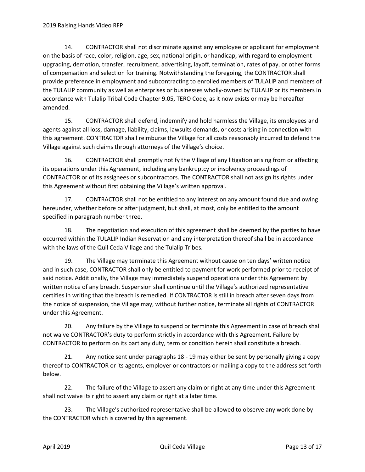14. CONTRACTOR shall not discriminate against any employee or applicant for employment on the basis of race, color, religion, age, sex, national origin, or handicap, with regard to employment upgrading, demotion, transfer, recruitment, advertising, layoff, termination, rates of pay, or other forms of compensation and selection for training. Notwithstanding the foregoing, the CONTRACTOR shall provide preference in employment and subcontracting to enrolled members of TULALIP and members of the TULALIP community as well as enterprises or businesses wholly-owned by TULALIP or its members in accordance with Tulalip Tribal Code Chapter 9.05, TERO Code, as it now exists or may be hereafter amended.

15. CONTRACTOR shall defend, indemnify and hold harmless the Village, its employees and agents against all loss, damage, liability, claims, lawsuits demands, or costs arising in connection with this agreement. CONTRACTOR shall reimburse the Village for all costs reasonably incurred to defend the Village against such claims through attorneys of the Village's choice.

16. CONTRACTOR shall promptly notify the Village of any litigation arising from or affecting its operations under this Agreement, including any bankruptcy or insolvency proceedings of CONTRACTOR or of its assignees or subcontractors. The CONTRACTOR shall not assign its rights under this Agreement without first obtaining the Village's written approval.

17. CONTRACTOR shall not be entitled to any interest on any amount found due and owing hereunder, whether before or after judgment, but shall, at most, only be entitled to the amount specified in paragraph number three.

18. The negotiation and execution of this agreement shall be deemed by the parties to have occurred within the TULALIP Indian Reservation and any interpretation thereof shall be in accordance with the laws of the Quil Ceda Village and the Tulalip Tribes.

19. The Village may terminate this Agreement without cause on ten days' written notice and in such case, CONTRACTOR shall only be entitled to payment for work performed prior to receipt of said notice. Additionally, the Village may immediately suspend operations under this Agreement by written notice of any breach. Suspension shall continue until the Village's authorized representative certifies in writing that the breach is remedied. If CONTRACTOR is still in breach after seven days from the notice of suspension, the Village may, without further notice, terminate all rights of CONTRACTOR under this Agreement.

20. Any failure by the Village to suspend or terminate this Agreement in case of breach shall not waive CONTRACTOR's duty to perform strictly in accordance with this Agreement. Failure by CONTRACTOR to perform on its part any duty, term or condition herein shall constitute a breach.

21. Any notice sent under paragraphs 18 - 19 may either be sent by personally giving a copy thereof to CONTRACTOR or its agents, employer or contractors or mailing a copy to the address set forth below.

22. The failure of the Village to assert any claim or right at any time under this Agreement shall not waive its right to assert any claim or right at a later time.

23. The Village's authorized representative shall be allowed to observe any work done by the CONTRACTOR which is covered by this agreement.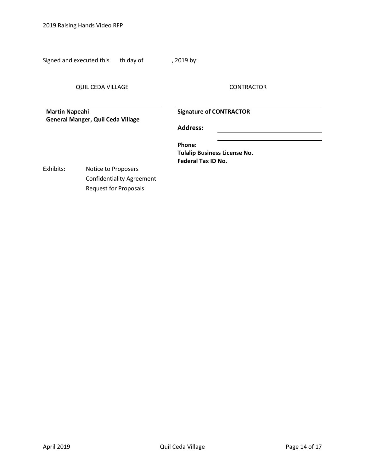2019 Raising Hands Video RFP

Signed and executed this th day of figures of the pay:

QUIL CEDA VILLAGE CONTRACTOR

**Martin Napeahi General Manger, Quil Ceda Village** **Signature of CONTRACTOR**

**Address:**

**Phone: Tulalip Business License No. Federal Tax ID No.**

Exhibits: Notice to Proposers Confidentiality Agreement Request for Proposals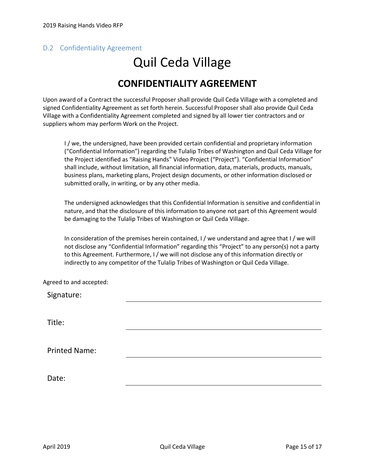## <span id="page-14-0"></span>D.2 Confidentiality Agreement

# Quil Ceda Village

## **CONFIDENTIALITY AGREEMENT**

Upon award of a Contract the successful Proposer shall provide Quil Ceda Village with a completed and signed Confidentiality Agreement as set forth herein. Successful Proposer shall also provide Quil Ceda Village with a Confidentiality Agreement completed and signed by all lower tier contractors and or suppliers whom may perform Work on the Project.

I / we, the undersigned, have been provided certain confidential and proprietary information ("Confidential Information") regarding the Tulalip Tribes of Washington and Quil Ceda Village for the Project identified as "Raising Hands" Video Project ("Project"). "Confidential Information" shall include, without limitation, all financial information, data, materials, products, manuals, business plans, marketing plans, Project design documents, or other information disclosed or submitted orally, in writing, or by any other media.

The undersigned acknowledges that this Confidential Information is sensitive and confidential in nature, and that the disclosure of this information to anyone not part of this Agreement would be damaging to the Tulalip Tribes of Washington or Quil Ceda Village.

In consideration of the premises herein contained, I / we understand and agree that I / we will not disclose any "Confidential Information" regarding this "Project" to any person(s) not a party to this Agreement. Furthermore, I / we will not disclose any of this information directly or indirectly to any competitor of the Tulalip Tribes of Washington or Quil Ceda Village.

Agreed to and accepted:

Signature:

Title:

Printed Name:

Date: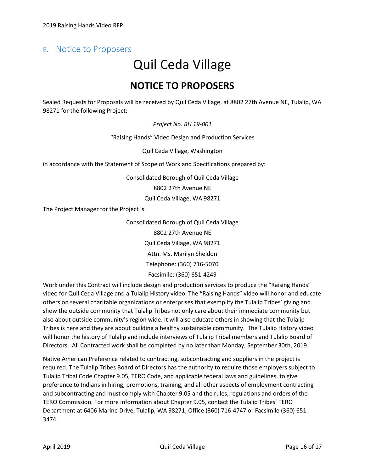## <span id="page-15-0"></span>E. Notice to Proposers

## Quil Ceda Village **NOTICE TO PROPOSERS**

Sealed Requests for Proposals will be received by Quil Ceda Village, at 8802 27th Avenue NE, Tulalip, WA 98271 for the following Project:

#### *Project No. RH 19-001*

"Raising Hands" Video Design and Production Services

Quil Ceda Village, Washington

in accordance with the Statement of Scope of Work and Specifications prepared by:

Consolidated Borough of Quil Ceda Village

8802 27th Avenue NE

Quil Ceda Village, WA 98271

The Project Manager for the Project is:

Consolidated Borough of Quil Ceda Village 8802 27th Avenue NE Quil Ceda Village, WA 98271 Attn. Ms. Marilyn Sheldon Telephone: (360) 716-5070 Facsimile: (360) 651-4249

Work under this Contract will include design and production services to produce the "Raising Hands" video for Quil Ceda Village and a Tulalip History video. The "Raising Hands" video will honor and educate others on several charitable organizations or enterprises that exemplify the Tulalip Tribes' giving and show the outside community that Tulalip Tribes not only care about their immediate community but also about outside community's region wide. It will also educate others in showing that the Tulalip Tribes is here and they are about building a healthy sustainable community. The Tulalip History video will honor the history of Tulalip and include interviews of Tulalip Tribal members and Tulalip Board of Directors. All Contracted work shall be completed by no later than Monday, September 30th, 2019.

Native American Preference related to contracting, subcontracting and suppliers in the project is required. The Tulalip Tribes Board of Directors has the authority to require those employers subject to Tulalip Tribal Code Chapter 9.05, TERO Code, and applicable federal laws and guidelines, to give preference to Indians in hiring, promotions, training, and all other aspects of employment contracting and subcontracting and must comply with Chapter 9.05 and the rules, regulations and orders of the TERO Commission. For more information about Chapter 9.05, contact the Tulalip Tribes' TERO Department at 6406 Marine Drive, Tulalip, WA 98271, Office (360) 716-4747 or Facsimile (360) 651- 3474.